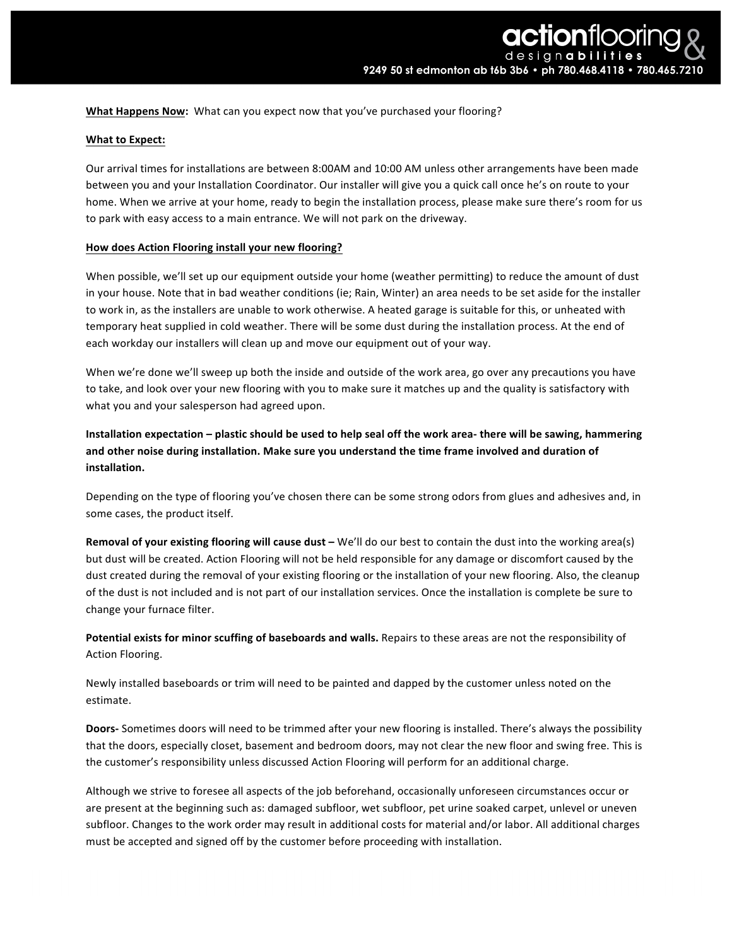**What Happens Now:** What can you expect now that you've purchased your flooring?

# **What to Expect:**

Our arrival times for installations are between 8:00AM and 10:00 AM unless other arrangements have been made between you and your Installation Coordinator. Our installer will give you a quick call once he's on route to your home. When we arrive at your home, ready to begin the installation process, please make sure there's room for us to park with easy access to a main entrance. We will not park on the driveway.

# **How does Action Flooring install your new flooring?**

When possible, we'll set up our equipment outside your home (weather permitting) to reduce the amount of dust in your house. Note that in bad weather conditions (ie; Rain, Winter) an area needs to be set aside for the installer to work in, as the installers are unable to work otherwise. A heated garage is suitable for this, or unheated with temporary heat supplied in cold weather. There will be some dust during the installation process. At the end of each workday our installers will clean up and move our equipment out of your way.

When we're done we'll sweep up both the inside and outside of the work area, go over any precautions you have to take, and look over your new flooring with you to make sure it matches up and the quality is satisfactory with what you and your salesperson had agreed upon.

Installation expectation – plastic should be used to help seal off the work area- there will be sawing, hammering and other noise during installation. Make sure you understand the time frame involved and duration of **installation.** 

Depending on the type of flooring you've chosen there can be some strong odors from glues and adhesives and, in some cases, the product itself.

**Removal of your existing flooring will cause dust** – We'll do our best to contain the dust into the working area(s) but dust will be created. Action Flooring will not be held responsible for any damage or discomfort caused by the dust created during the removal of your existing flooring or the installation of your new flooring. Also, the cleanup of the dust is not included and is not part of our installation services. Once the installation is complete be sure to change your furnace filter.

Potential exists for minor scuffing of baseboards and walls. Repairs to these areas are not the responsibility of Action Flooring.

Newly installed baseboards or trim will need to be painted and dapped by the customer unless noted on the estimate. 

**Doors-** Sometimes doors will need to be trimmed after your new flooring is installed. There's always the possibility that the doors, especially closet, basement and bedroom doors, may not clear the new floor and swing free. This is the customer's responsibility unless discussed Action Flooring will perform for an additional charge.

Although we strive to foresee all aspects of the job beforehand, occasionally unforeseen circumstances occur or are present at the beginning such as: damaged subfloor, wet subfloor, pet urine soaked carpet, unlevel or uneven subfloor. Changes to the work order may result in additional costs for material and/or labor. All additional charges must be accepted and signed off by the customer before proceeding with installation.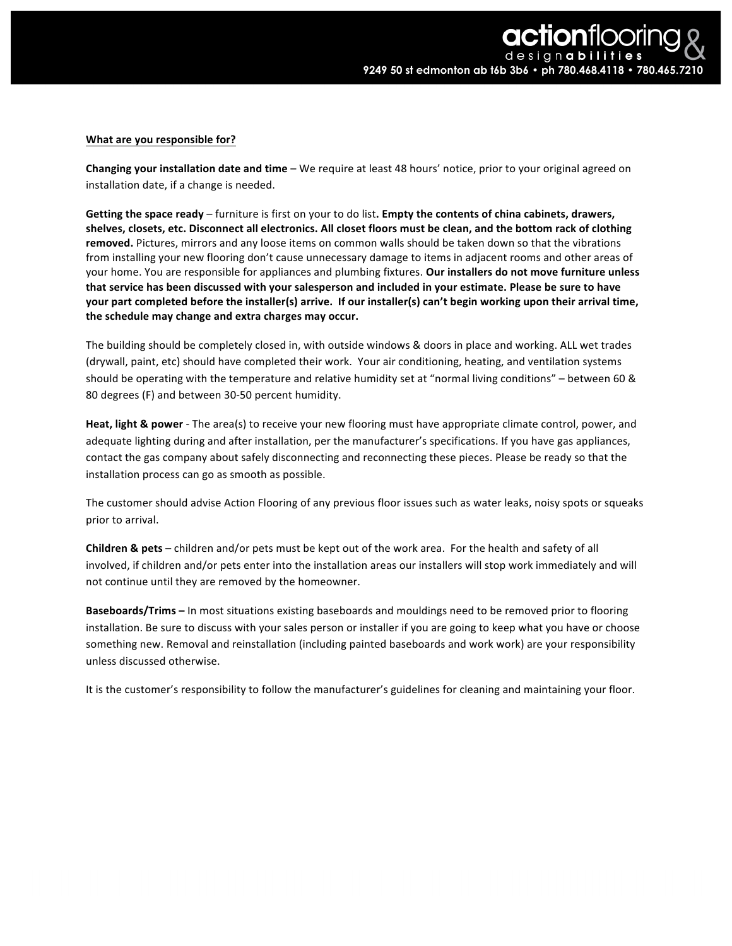# **What are you responsible for?**

**Changing your installation date and time** – We require at least 48 hours' notice, prior to your original agreed on installation date, if a change is needed.

**Getting the space ready** – furniture is first on your to do list. Empty the contents of china cabinets, drawers, shelves, closets, etc. Disconnect all electronics. All closet floors must be clean, and the bottom rack of clothing removed. Pictures, mirrors and any loose items on common walls should be taken down so that the vibrations from installing your new flooring don't cause unnecessary damage to items in adjacent rooms and other areas of your home. You are responsible for appliances and plumbing fixtures. Our installers do not move furniture unless that service has been discussed with your salesperson and included in your estimate. Please be sure to have **your** part completed before the installer(s) arrive. If our installer(s) can't begin working upon their arrival time, the schedule may change and extra charges may occur.

The building should be completely closed in, with outside windows & doors in place and working. ALL wet trades (drywall, paint, etc) should have completed their work. Your air conditioning, heating, and ventilation systems should be operating with the temperature and relative humidity set at "normal living conditions" – between 60 & 80 degrees (F) and between 30-50 percent humidity.

**Heat, light & power** - The area(s) to receive your new flooring must have appropriate climate control, power, and adequate lighting during and after installation, per the manufacturer's specifications. If you have gas appliances, contact the gas company about safely disconnecting and reconnecting these pieces. Please be ready so that the installation process can go as smooth as possible.

The customer should advise Action Flooring of any previous floor issues such as water leaks, noisy spots or squeaks prior to arrival.

**Children & pets** – children and/or pets must be kept out of the work area. For the health and safety of all involved, if children and/or pets enter into the installation areas our installers will stop work immediately and will not continue until they are removed by the homeowner.

**Baseboards/Trims** – In most situations existing baseboards and mouldings need to be removed prior to flooring installation. Be sure to discuss with your sales person or installer if you are going to keep what you have or choose something new. Removal and reinstallation (including painted baseboards and work work) are your responsibility unless discussed otherwise. 

It is the customer's responsibility to follow the manufacturer's guidelines for cleaning and maintaining your floor.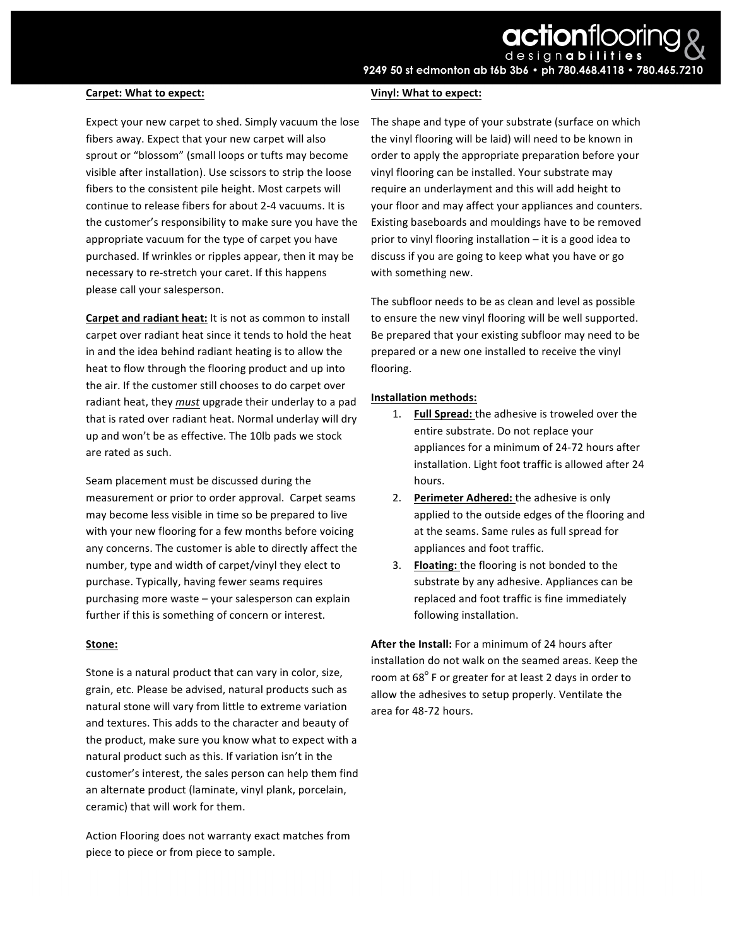#### **Carpet: What to expect:**

Expect your new carpet to shed. Simply vacuum the lose fibers away. Expect that your new carpet will also sprout or "blossom" (small loops or tufts may become visible after installation). Use scissors to strip the loose fibers to the consistent pile height. Most carpets will continue to release fibers for about 2-4 vacuums. It is the customer's responsibility to make sure you have the appropriate vacuum for the type of carpet you have purchased. If wrinkles or ripples appear, then it may be necessary to re-stretch your caret. If this happens please call your salesperson.

**Carpet and radiant heat:** It is not as common to install carpet over radiant heat since it tends to hold the heat in and the idea behind radiant heating is to allow the heat to flow through the flooring product and up into the air. If the customer still chooses to do carpet over radiant heat, they *must* upgrade their underlay to a pad that is rated over radiant heat. Normal underlay will dry up and won't be as effective. The 10lb pads we stock are rated as such.

Seam placement must be discussed during the measurement or prior to order approval. Carpet seams may become less visible in time so be prepared to live with your new flooring for a few months before voicing any concerns. The customer is able to directly affect the number, type and width of carpet/vinyl they elect to purchase. Typically, having fewer seams requires purchasing more waste - your salesperson can explain further if this is something of concern or interest.

### **Stone:**

Stone is a natural product that can vary in color, size, grain, etc. Please be advised, natural products such as natural stone will vary from little to extreme variation and textures. This adds to the character and beauty of the product, make sure you know what to expect with a natural product such as this. If variation isn't in the customer's interest, the sales person can help them find an alternate product (laminate, vinyl plank, porcelain, ceramic) that will work for them.

Action Flooring does not warranty exact matches from piece to piece or from piece to sample.

### **Vinyl: What to expect:**

The shape and type of your substrate (surface on which the vinyl flooring will be laid) will need to be known in order to apply the appropriate preparation before your vinyl flooring can be installed. Your substrate may require an underlayment and this will add height to your floor and may affect your appliances and counters. Existing baseboards and mouldings have to be removed prior to vinyl flooring installation  $-$  it is a good idea to discuss if you are going to keep what you have or go with something new.

The subfloor needs to be as clean and level as possible to ensure the new vinyl flooring will be well supported. Be prepared that your existing subfloor may need to be prepared or a new one installed to receive the vinyl flooring. 

## **Installation methods:**

- 1. **Full Spread:** the adhesive is troweled over the entire substrate. Do not replace your appliances for a minimum of 24-72 hours after installation. Light foot traffic is allowed after 24 hours.
- 2. **Perimeter Adhered:** the adhesive is only applied to the outside edges of the flooring and at the seams. Same rules as full spread for appliances and foot traffic.
- 3. **Floating:** the flooring is not bonded to the substrate by any adhesive. Appliances can be replaced and foot traffic is fine immediately following installation.

**After the Install:** For a minimum of 24 hours after installation do not walk on the seamed areas. Keep the room at  $68^\circ$  F or greater for at least 2 days in order to allow the adhesives to setup properly. Ventilate the area for 48-72 hours.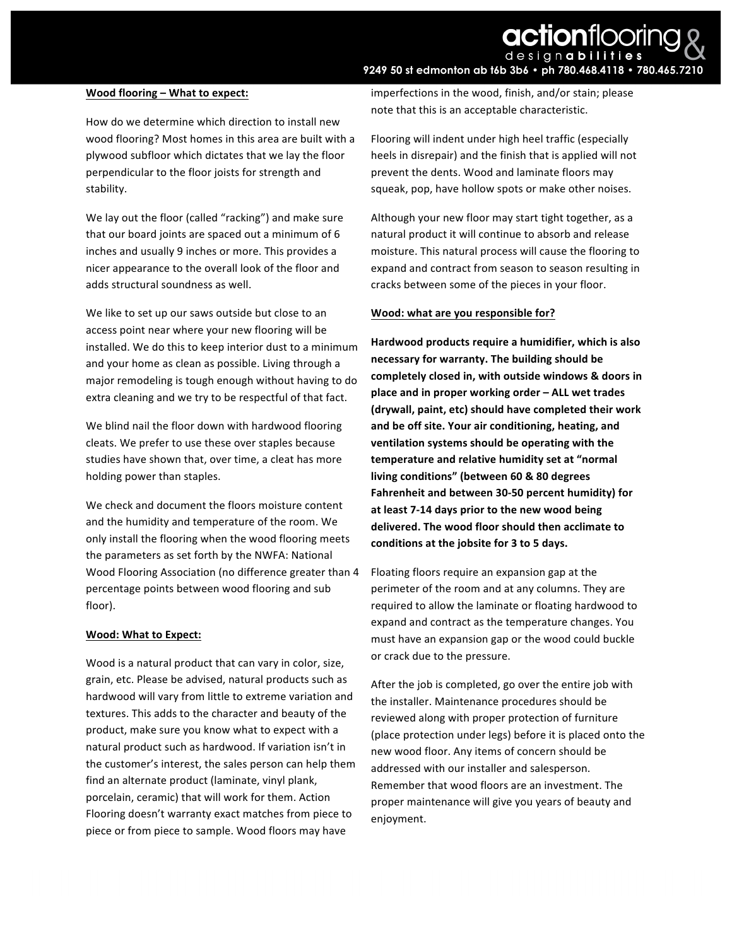# **actionfloorin** desianabi **9249 50 st edmonton ab t6b 3b6 • ph 780.468.4118 • 780.465.7210**

## **Wood flooring – What to expect:**

How do we determine which direction to install new wood flooring? Most homes in this area are built with a plywood subfloor which dictates that we lay the floor perpendicular to the floor joists for strength and stability. 

We lay out the floor (called "racking") and make sure that our board joints are spaced out a minimum of 6 inches and usually 9 inches or more. This provides a nicer appearance to the overall look of the floor and adds structural soundness as well.

We like to set up our saws outside but close to an access point near where your new flooring will be installed. We do this to keep interior dust to a minimum and your home as clean as possible. Living through a major remodeling is tough enough without having to do extra cleaning and we try to be respectful of that fact.

We blind nail the floor down with hardwood flooring cleats. We prefer to use these over staples because studies have shown that, over time, a cleat has more holding power than staples.

We check and document the floors moisture content and the humidity and temperature of the room. We only install the flooring when the wood flooring meets the parameters as set forth by the NWFA: National Wood Flooring Association (no difference greater than 4 percentage points between wood flooring and sub floor). 

### **Wood: What to Expect:**

Wood is a natural product that can vary in color, size, grain, etc. Please be advised, natural products such as hardwood will vary from little to extreme variation and textures. This adds to the character and beauty of the product, make sure you know what to expect with a natural product such as hardwood. If variation isn't in the customer's interest, the sales person can help them find an alternate product (laminate, vinyl plank, porcelain, ceramic) that will work for them. Action Flooring doesn't warranty exact matches from piece to piece or from piece to sample. Wood floors may have

imperfections in the wood, finish, and/or stain; please note that this is an acceptable characteristic.

Flooring will indent under high heel traffic (especially heels in disrepair) and the finish that is applied will not prevent the dents. Wood and laminate floors may squeak, pop, have hollow spots or make other noises.

Although your new floor may start tight together, as a natural product it will continue to absorb and release moisture. This natural process will cause the flooring to expand and contract from season to season resulting in cracks between some of the pieces in your floor.

## **Wood:** what are you responsible for?

Hardwood products require a humidifier, which is also necessary for warranty. The building should be completely closed in, with outside windows & doors in **place and in proper working order - ALL wet trades (drywall, paint, etc) should have completed their work** and be off site. Your air conditioning, heating, and **ventilation systems should be operating with the** temperature and relative humidity set at "normal living conditions" (between 60 & 80 degrees Fahrenheit and between 30-50 percent humidity) for at least 7-14 days prior to the new wood being delivered. The wood floor should then acclimate to conditions at the jobsite for 3 to 5 days.

Floating floors require an expansion gap at the perimeter of the room and at any columns. They are required to allow the laminate or floating hardwood to expand and contract as the temperature changes. You must have an expansion gap or the wood could buckle or crack due to the pressure.

After the job is completed, go over the entire job with the installer. Maintenance procedures should be reviewed along with proper protection of furniture (place protection under legs) before it is placed onto the new wood floor. Any items of concern should be addressed with our installer and salesperson. Remember that wood floors are an investment. The proper maintenance will give you years of beauty and enjoyment.